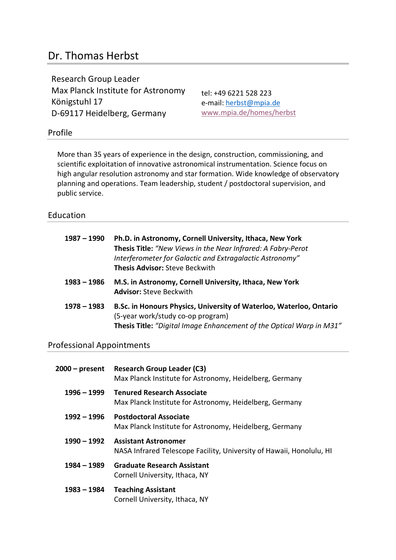# Dr. Thomas Herbst

Research Group Leader Max Planck Institute for Astronomy Königstuhl 17 D-69117 Heidelberg, Germany

tel: +49 6221 528 223 e-mail: herbst@mpia.de www.mpia.de/homes/herbst

### Profile

More than 35 years of experience in the design, construction, commissioning, and scientific exploitation of innovative astronomical instrumentation. Science focus on high angular resolution astronomy and star formation. Wide knowledge of observatory planning and operations. Team leadership, student / postdoctoral supervision, and public service.

### Education

| $1987 - 1990$ | Ph.D. in Astronomy, Cornell University, Ithaca, New York<br>Thesis Title: "New Views in the Near Infrared: A Fabry-Perot<br>Interferometer for Galactic and Extragalactic Astronomy"<br><b>Thesis Advisor: Steve Beckwith</b> |
|---------------|-------------------------------------------------------------------------------------------------------------------------------------------------------------------------------------------------------------------------------|
| $1983 - 1986$ | M.S. in Astronomy, Cornell University, Ithaca, New York<br><b>Advisor: Steve Beckwith</b>                                                                                                                                     |
| $1978 - 1983$ | B.Sc. in Honours Physics, University of Waterloo, Waterloo, Ontario<br>(5-year work/study co-op program)<br><b>Thesis Title:</b> "Digital Image Enhancement of the Optical Warp in M31"                                       |

### Professional Appointments

| 2000 – present | <b>Research Group Leader (C3)</b><br>Max Planck Institute for Astronomy, Heidelberg, Germany        |
|----------------|-----------------------------------------------------------------------------------------------------|
| $1996 - 1999$  | <b>Tenured Research Associate</b><br>Max Planck Institute for Astronomy, Heidelberg, Germany        |
| $1992 - 1996$  | <b>Postdoctoral Associate</b><br>Max Planck Institute for Astronomy, Heidelberg, Germany            |
| 1990 - 1992    | <b>Assistant Astronomer</b><br>NASA Infrared Telescope Facility, University of Hawaii, Honolulu, HI |
| 1984 – 1989    | <b>Graduate Research Assistant</b><br>Cornell University, Ithaca, NY                                |
| 1983 – 1984    | <b>Teaching Assistant</b><br>Cornell University, Ithaca, NY                                         |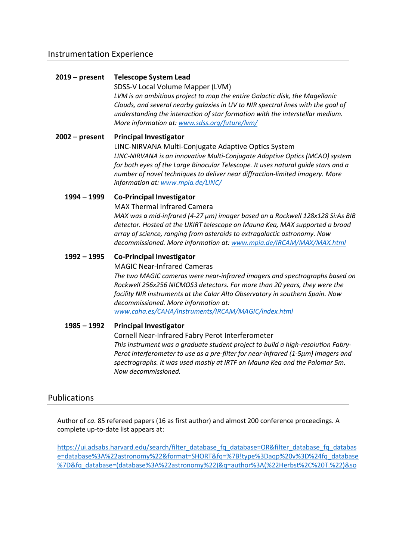### **2019 – present Telescope System Lead**

SDSS-V Local Volume Mapper (LVM) *LVM is an ambitious project to map the entire Galactic disk, the Magellanic Clouds, and several nearby galaxies in UV to NIR spectral lines with the goal of understanding the interaction of star formation with the interstellar medium. More information at: www.sdss.org/future/lvm/*

**2002 – present Principal Investigator** LINC-NIRVANA Multi-Conjugate Adaptive Optics System *LINC-NIRVANA is an innovative Multi-Conjugate Adaptive Optics (MCAO) system for both eyes of the Large Binocular Telescope. It uses natural guide stars and a number of novel techniques to deliver near diffraction-limited imagery. More* 

*information at: www.mpia.de/LINC/*

### **1994 – 1999 Co-Principal Investigator**

MAX Thermal Infrared Camera

*MAX was a mid-infrared (4-27 µm) imager based on a Rockwell 128x128 Si:As BIB detector. Hosted at the UKIRT telescope on Mauna Kea, MAX supported a broad array of science, ranging from asteroids to extragalactic astronomy. Now decommissioned. More information at: www.mpia.de/IRCAM/MAX/MAX.html*

### **1992 – 1995 Co-Principal Investigator**

MAGIC Near-Infrared Cameras

*The two MAGIC cameras were near-infrared imagers and spectrographs based on Rockwell 256x256 NICMOS3 detectors. For more than 20 years, they were the facility NIR instruments at the Calar Alto Observatory in southern Spain. Now decommissioned. More information at:*

*www.caha.es/CAHA/Instruments/IRCAM/MAGIC/index.html*

### **1985 – 1992 Principal Investigator**

Cornell Near-Infrared Fabry Perot Interferometer *This instrument was a graduate student project to build a high-resolution Fabry-Perot interferometer to use as a pre-filter for near-infrared (1-5µm) imagers and spectrographs. It was used mostly at IRTF on Mauna Kea and the Palomar 5m. Now decommissioned.*

### Publications

Author of *ca.* 85 refereed papers (16 as first author) and almost 200 conference proceedings. A complete up-to-date list appears at:

https://ui.adsabs.harvard.edu/search/filter\_database\_fq\_database=OR&filter\_database\_fq\_databas e=database%3A%22astronomy%22&format=SHORT&fq=%7B!type%3Daqp%20v%3D%24fq\_database %7D&fq\_database=(database%3A%22astronomy%22)&q=author%3A(%22Herbst%2C%20T.%22)&so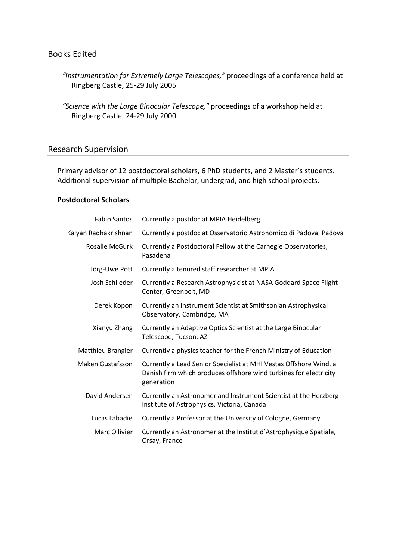- *"Instrumentation for Extremely Large Telescopes,"* proceedings of a conference held at Ringberg Castle, 25-29 July 2005
- *"Science with the Large Binocular Telescope,"* proceedings of a workshop held at Ringberg Castle, 24-29 July 2000

### Research Supervision

Primary advisor of 12 postdoctoral scholars, 6 PhD students, and 2 Master's students. Additional supervision of multiple Bachelor, undergrad, and high school projects.

### **Postdoctoral Scholars**

| <b>Fabio Santos</b>     | Currently a postdoc at MPIA Heidelberg                                                                                                               |
|-------------------------|------------------------------------------------------------------------------------------------------------------------------------------------------|
| Kalyan Radhakrishnan    | Currently a postdoc at Osservatorio Astronomico di Padova, Padova                                                                                    |
| <b>Rosalie McGurk</b>   | Currently a Postdoctoral Fellow at the Carnegie Observatories,<br>Pasadena                                                                           |
| Jörg-Uwe Pott           | Currently a tenured staff researcher at MPIA                                                                                                         |
| Josh Schlieder          | Currently a Research Astrophysicist at NASA Goddard Space Flight<br>Center, Greenbelt, MD                                                            |
| Derek Kopon             | Currently an Instrument Scientist at Smithsonian Astrophysical<br>Observatory, Cambridge, MA                                                         |
| Xianyu Zhang            | Currently an Adaptive Optics Scientist at the Large Binocular<br>Telescope, Tucson, AZ                                                               |
| Matthieu Brangier       | Currently a physics teacher for the French Ministry of Education                                                                                     |
| <b>Maken Gustafsson</b> | Currently a Lead Senior Specialist at MHI Vestas Offshore Wind, a<br>Danish firm which produces offshore wind turbines for electricity<br>generation |
| David Andersen          | Currently an Astronomer and Instrument Scientist at the Herzberg<br>Institute of Astrophysics, Victoria, Canada                                      |
| Lucas Labadie           | Currently a Professor at the University of Cologne, Germany                                                                                          |
| Marc Ollivier           | Currently an Astronomer at the Institut d'Astrophysique Spatiale,<br>Orsay, France                                                                   |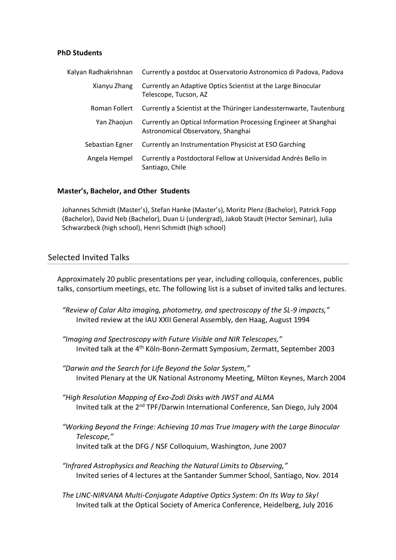### **PhD Students**

| Kalyan Radhakrishnan | Currently a postdoc at Osservatorio Astronomico di Padova, Padova                                      |
|----------------------|--------------------------------------------------------------------------------------------------------|
| Xianyu Zhang         | Currently an Adaptive Optics Scientist at the Large Binocular<br>Telescope, Tucson, AZ                 |
| Roman Follert        | Currently a Scientist at the Thüringer Landessternwarte, Tautenburg                                    |
| Yan Zhaojun          | Currently an Optical Information Processing Engineer at Shanghai<br>Astronomical Observatory, Shanghai |
| Sebastian Egner      | Currently an Instrumentation Physicist at ESO Garching                                                 |
| Angela Hempel        | Currently a Postdoctoral Fellow at Universidad Andrés Bello in<br>Santiago, Chile                      |

### **Master's, Bachelor, and Other Students**

Johannes Schmidt (Master's), Stefan Hanke (Master's), Moritz Plenz (Bachelor), Patrick Fopp (Bachelor), David Neb (Bachelor), Duan Li (undergrad), Jakob Staudt (Hector Seminar), Julia Schwarzbeck (high school), Henri Schmidt (high school)

### Selected Invited Talks

Approximately 20 public presentations per year, including colloquia, conferences, public talks, consortium meetings, etc. The following list is a subset of invited talks and lectures.

- *"Review of Calar Alto imaging, photometry, and spectroscopy of the SL-9 impacts,"* Invited review at the IAU XXII General Assembly, den Haag, August 1994
- *"Imaging and Spectroscopy with Future Visible and NIR Telescopes,"* Invited talk at the 4th Köln-Bonn-Zermatt Symposium, Zermatt, September 2003
- *"Darwin and the Search for Life Beyond the Solar System,"* Invited Plenary at the UK National Astronomy Meeting, Milton Keynes, March 2004
- *"High Resolution Mapping of Exo-Zodi Disks with JWST and ALMA* Invited talk at the 2nd TPF/Darwin International Conference, San Diego, July 2004
- *"Working Beyond the Fringe: Achieving 10 mas True Imagery with the Large Binocular Telescope,"* Invited talk at the DFG / NSF Colloquium, Washington, June 2007
- *"Infrared Astrophysics and Reaching the Natural Limits to Observing,"* Invited series of 4 lectures at the Santander Summer School, Santiago, Nov. 2014
- *The LINC-NIRVANA Multi-Conjugate Adaptive Optics System: On Its Way to Sky!* Invited talk at the Optical Society of America Conference, Heidelberg, July 2016